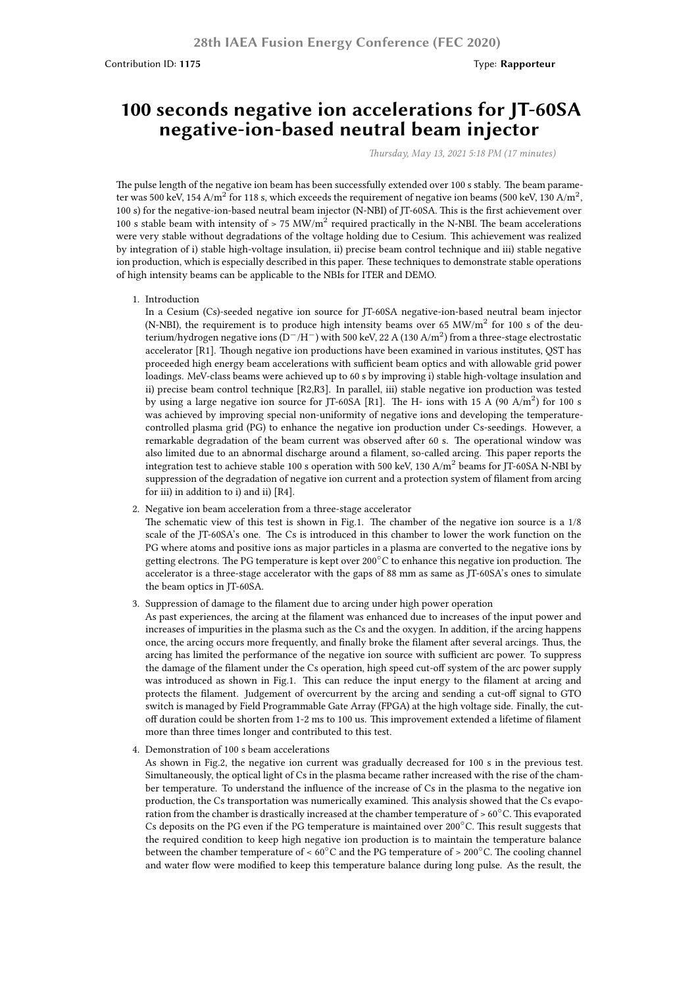Contribution ID: **1175** Type: **Rapporteur**

## **100 seconds negative ion accelerations for JT-60SA negative-ion-based neutral beam injector**

*Thursday, May 13, 2021 5:18 PM (17 minutes)*

The pulse length of the negative ion beam has been successfully extended over 100 s stably. The beam parameter was 500 keV, 154 A/m $^2$  for 118 s, which exceeds the requirement of negative ion beams (500 keV, 130 A/m $^2$ , 100 s) for the negative-ion-based neutral beam injector (N-NBI) of JT-60SA. This is the first achievement over 100 s stable beam with intensity of  $> 75$  MW/m<sup>2</sup> required practically in the N-NBI. The beam accelerations were very stable without degradations of the voltage holding due to Cesium. This achievement was realized by integration of i) stable high-voltage insulation, ii) precise beam control technique and iii) stable negative ion production, which is especially described in this paper. These techniques to demonstrate stable operations of high intensity beams can be applicable to the NBIs for ITER and DEMO.

1. Introduction

In a Cesium (Cs)-seeded negative ion source for JT-60SA negative-ion-based neutral beam injector (N-NBI), the requirement is to produce high intensity beams over 65 MW/m<sup>2</sup> for 100 s of the deuterium/hydrogen negative ions (D*−*/H*−*) with 500 keV, 22 A (130 A/m<sup>2</sup> ) from a three-stage electrostatic accelerator [R1]. Though negative ion productions have been examined in various institutes, QST has proceeded high energy beam accelerations with sufficient beam optics and with allowable grid power loadings. MeV-class beams were achieved up to 60 s by improving i) stable high-voltage insulation and ii) precise beam control technique [R2,R3]. In parallel, iii) stable negative ion production was tested by using a large negative ion source for JT-60SA [R1]. The H- ions with 15 A (90 A/m<sup>2</sup>) for 100 s was achieved by improving special non-uniformity of negative ions and developing the temperaturecontrolled plasma grid (PG) to enhance the negative ion production under Cs-seedings. However, a remarkable degradation of the beam current was observed after 60 s. The operational window was also limited due to an abnormal discharge around a filament, so-called arcing. This paper reports the integration test to achieve stable 100 s operation with 500 keV, 130  $A/m^2$  beams for JT-60SA N-NBI by suppression of the degradation of negative ion current and a protection system of filament from arcing for iii) in addition to i) and ii) [R4].

2. Negative ion beam acceleration from a three-stage accelerator

The schematic view of this test is shown in Fig.1. The chamber of the negative ion source is a 1/8 scale of the JT-60SA's one. The Cs is introduced in this chamber to lower the work function on the PG where atoms and positive ions as major particles in a plasma are converted to the negative ions by getting electrons. The PG temperature is kept over 200*◦*C to enhance this negative ion production. The accelerator is a three-stage accelerator with the gaps of 88 mm as same as JT-60SA's ones to simulate the beam optics in JT-60SA.

3. Suppression of damage to the filament due to arcing under high power operation

As past experiences, the arcing at the filament was enhanced due to increases of the input power and increases of impurities in the plasma such as the Cs and the oxygen. In addition, if the arcing happens once, the arcing occurs more frequently, and finally broke the filament after several arcings. Thus, the arcing has limited the performance of the negative ion source with sufficient arc power. To suppress the damage of the filament under the Cs operation, high speed cut-off system of the arc power supply was introduced as shown in Fig.1. This can reduce the input energy to the filament at arcing and protects the filament. Judgement of overcurrent by the arcing and sending a cut-off signal to GTO switch is managed by Field Programmable Gate Array (FPGA) at the high voltage side. Finally, the cutoff duration could be shorten from 1-2 ms to 100 us. This improvement extended a lifetime of filament more than three times longer and contributed to this test.

4. Demonstration of 100 s beam accelerations

As shown in Fig.2, the negative ion current was gradually decreased for 100 s in the previous test. Simultaneously, the optical light of Cs in the plasma became rather increased with the rise of the chamber temperature. To understand the influence of the increase of Cs in the plasma to the negative ion production, the Cs transportation was numerically examined. This analysis showed that the Cs evaporation from the chamber is drastically increased at the chamber temperature of > 60*◦*C. This evaporated Cs deposits on the PG even if the PG temperature is maintained over 200*◦*C. This result suggests that the required condition to keep high negative ion production is to maintain the temperature balance between the chamber temperature of < 60*◦*C and the PG temperature of > 200*◦*C. The cooling channel and water flow were modified to keep this temperature balance during long pulse. As the result, the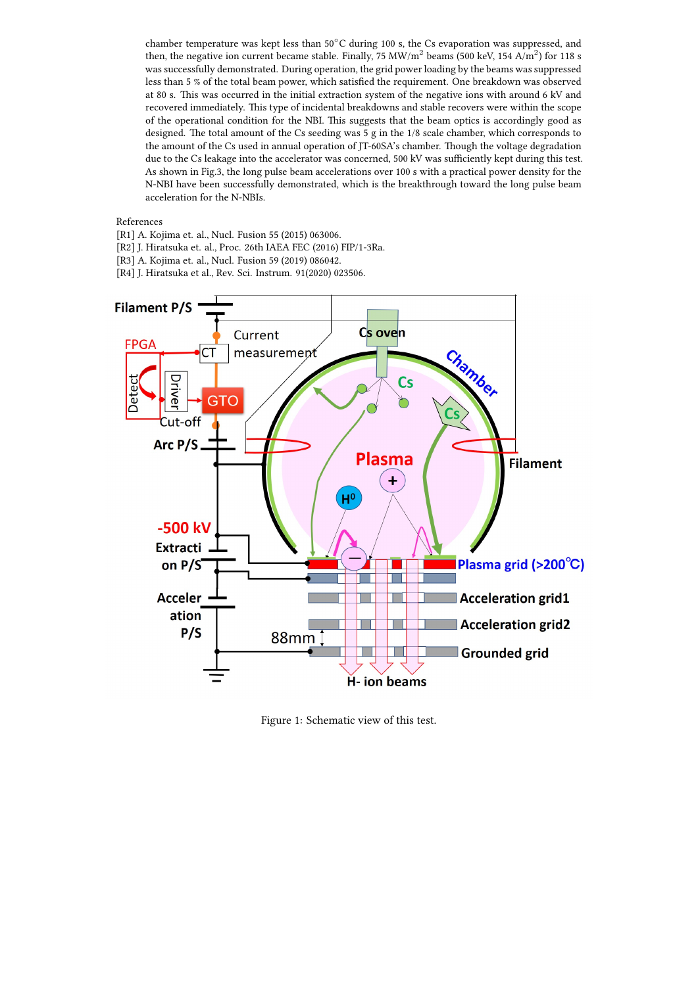chamber temperature was kept less than 50*◦*C during 100 s, the Cs evaporation was suppressed, and then, the negative ion current became stable. Finally, 75 MW/m<sup>2</sup> beams (500 keV, 154 A/m<sup>2</sup>) for 118 s was successfully demonstrated. During operation, the grid power loading by the beams was suppressed less than 5 % of the total beam power, which satisfied the requirement. One breakdown was observed at 80 s. This was occurred in the initial extraction system of the negative ions with around 6 kV and recovered immediately. This type of incidental breakdowns and stable recovers were within the scope of the operational condition for the NBI. This suggests that the beam optics is accordingly good as designed. The total amount of the Cs seeding was 5 g in the 1/8 scale chamber, which corresponds to the amount of the Cs used in annual operation of JT-60SA's chamber. Though the voltage degradation due to the Cs leakage into the accelerator was concerned, 500 kV was sufficiently kept during this test. As shown in Fig.3, the long pulse beam accelerations over 100 s with a practical power density for the N-NBI have been successfully demonstrated, which is the breakthrough toward the long pulse beam acceleration for the N-NBIs.

## References

- [R1] A. Kojima et. al., Nucl. Fusion 55 (2015) 063006.
- [R2] J. Hiratsuka et. al., Proc. 26th IAEA FEC (2016) FIP/1-3Ra.
- [R3] A. Kojima et. al., Nucl. Fusion 59 (2019) 086042.
- [R4] J. Hiratsuka et al., Rev. Sci. Instrum. 91(2020) 023506.



Figure 1: Schematic view of this test.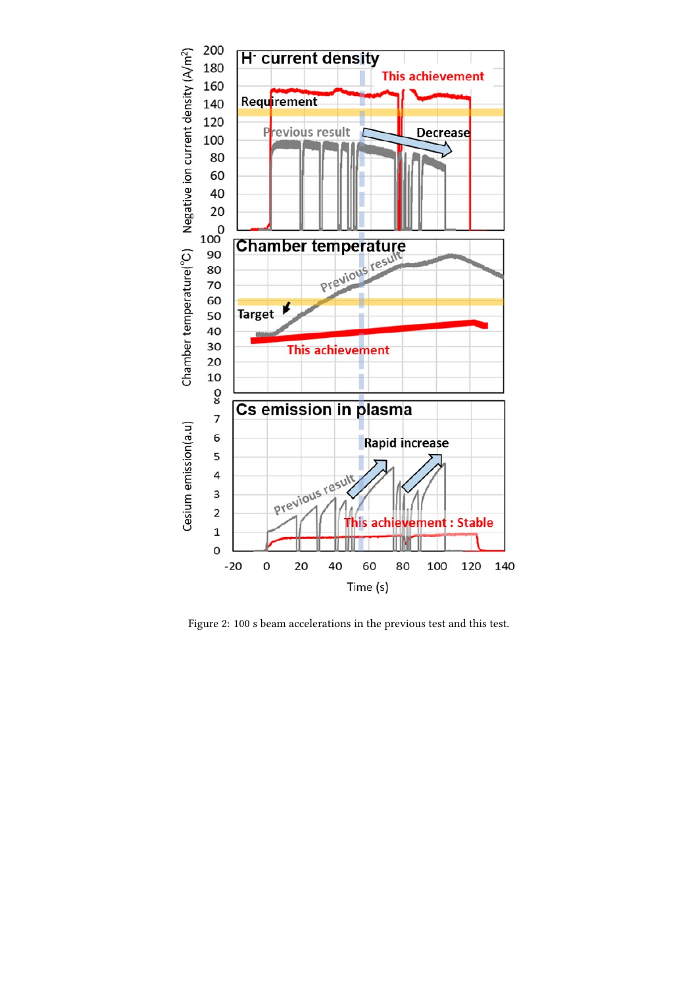

Figure 2: 100 s beam accelerations in the previous test and this test.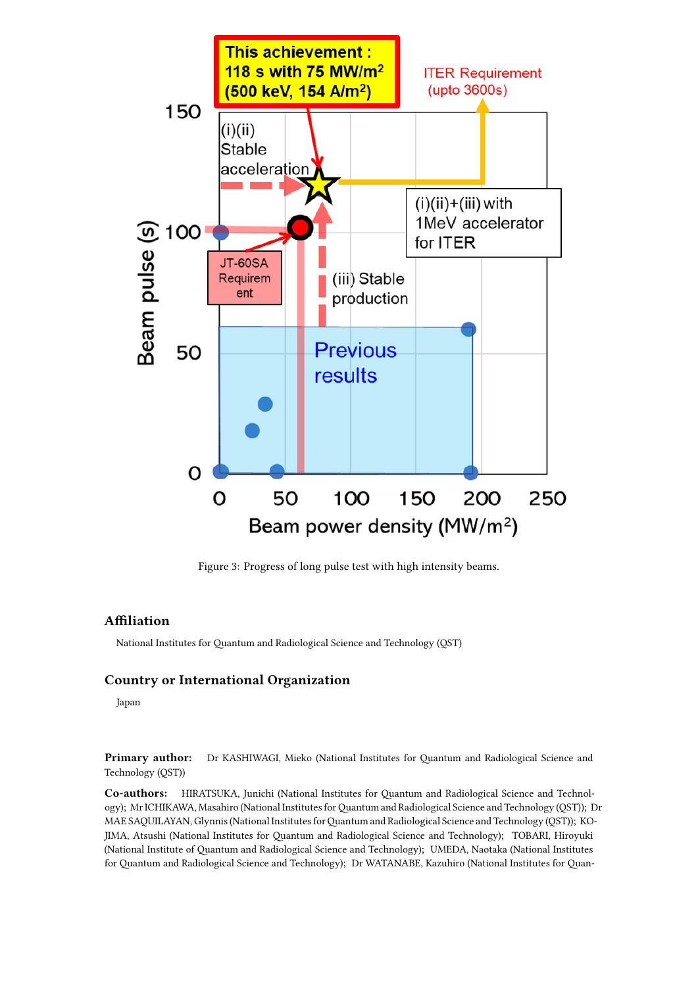

Figure 3: Progress of long pulse test with high intensity beams.

## **Affiliation**

National Institutes for Quantum and Radiological Science and Technology (QST)

## **Country or International Organization**

Japan

**Primary author:** Dr KASHIWAGI, Mieko (National Institutes for Quantum and Radiological Science and Technology (QST))

**Co-authors:** HIRATSUKA, Junichi (National Institutes for Quantum and Radiological Science and Technology); Mr ICHIKAWA, Masahiro (National Institutes forQuantum and Radiological Science and Technology (QST)); Dr MAE SAQUILAYAN, Glynnis (National Institutes for Quantum and Radiological Science and Technology (QST)); KO-JIMA, Atsushi (National Institutes for Quantum and Radiological Science and Technology); TOBARI, Hiroyuki (National Institute of Quantum and Radiological Science and Technology); UMEDA, Naotaka (National Institutes for Quantum and Radiological Science and Technology); Dr WATANABE, Kazuhiro (National Institutes for Quan